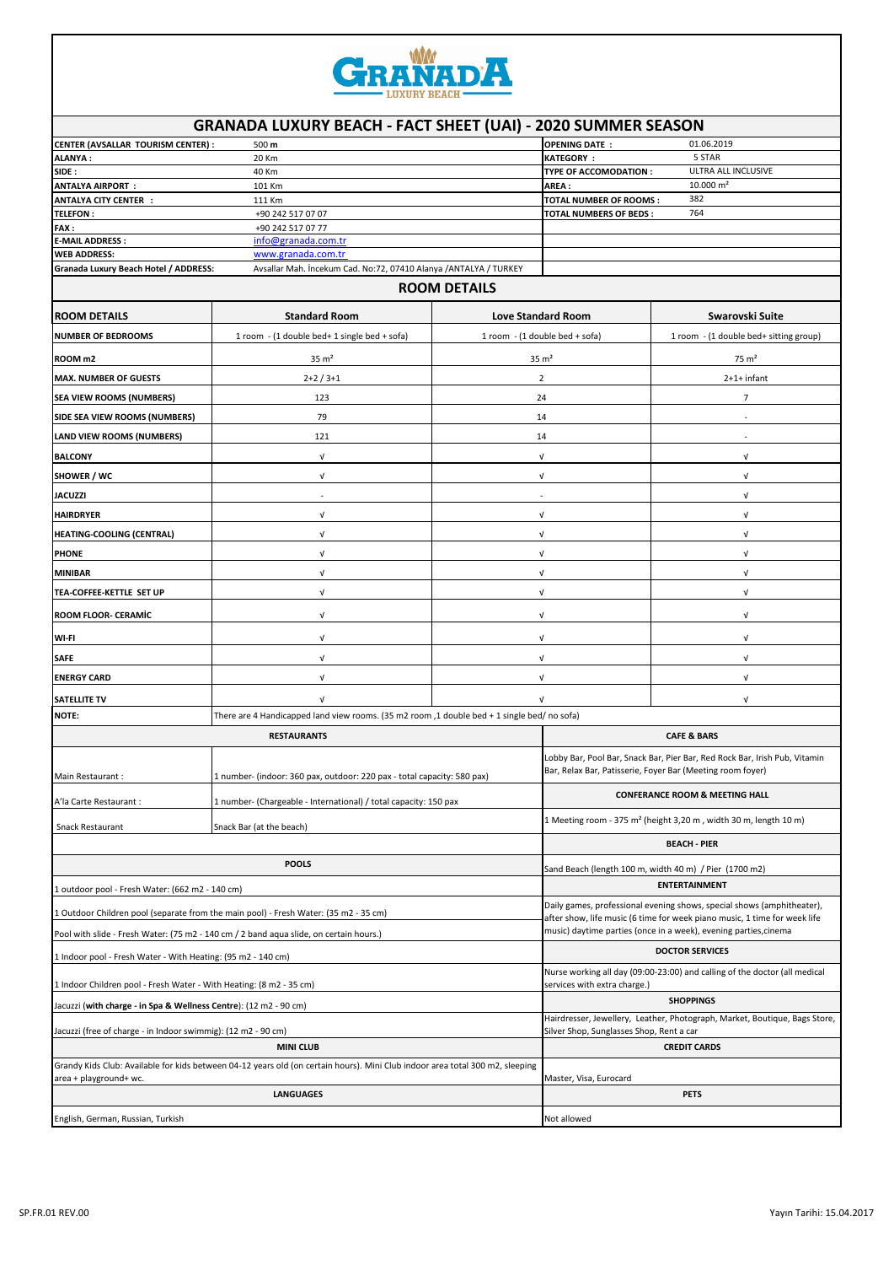

|                                                                                                                                                         | <b>GRANADA LUXURY BEACH - FACT SHEET (UAI) - 2020 SUMMER SEASON</b>     |                                |                                                                                                                                                     |                                                                              |  |  |  |
|---------------------------------------------------------------------------------------------------------------------------------------------------------|-------------------------------------------------------------------------|--------------------------------|-----------------------------------------------------------------------------------------------------------------------------------------------------|------------------------------------------------------------------------------|--|--|--|
| CENTER (AVSALLAR TOURISM CENTER) :                                                                                                                      | 500 m                                                                   |                                | <b>OPENING DATE:</b>                                                                                                                                | 01.06.2019                                                                   |  |  |  |
| ALANYA :                                                                                                                                                | 20 Km                                                                   | 5 STAR<br><b>KATEGORY:</b>     |                                                                                                                                                     |                                                                              |  |  |  |
| 40 Km<br>SIDE :                                                                                                                                         |                                                                         |                                | ULTRA ALL INCLUSIVE<br>TYPE OF ACCOMODATION :<br>$10.000 \text{ m}^2$                                                                               |                                                                              |  |  |  |
| ANTALYA AIRPORT:<br>101 Km<br><b>ANTALYA CITY CENTER :</b><br>111 Km                                                                                    |                                                                         |                                | AREA :<br>382<br><b>TOTAL NUMBER OF ROOMS:</b>                                                                                                      |                                                                              |  |  |  |
| <b>TELEFON:</b>                                                                                                                                         | +90 242 517 07 07                                                       |                                | <b>TOTAL NUMBERS OF BEDS:</b>                                                                                                                       | 764                                                                          |  |  |  |
| <b>FAX :</b>                                                                                                                                            | +90 242 517 07 77                                                       |                                |                                                                                                                                                     |                                                                              |  |  |  |
| info@granada.com.tr<br>E-MAIL ADDRESS :                                                                                                                 |                                                                         |                                |                                                                                                                                                     |                                                                              |  |  |  |
| <b>WEB ADDRESS:</b><br>Granada Luxury Beach Hotel / ADDRESS:                                                                                            | www.granada.com.tr                                                      |                                |                                                                                                                                                     |                                                                              |  |  |  |
| Avsallar Mah. İncekum Cad. No:72, 07410 Alanya /ANTALYA / TURKEY<br><b>ROOM DETAILS</b>                                                                 |                                                                         |                                |                                                                                                                                                     |                                                                              |  |  |  |
|                                                                                                                                                         |                                                                         |                                |                                                                                                                                                     |                                                                              |  |  |  |
| <b>ROOM DETAILS</b>                                                                                                                                     | <b>Standard Room</b>                                                    | <b>Love Standard Room</b>      |                                                                                                                                                     | Swarovski Suite                                                              |  |  |  |
| <b>NUMBER OF BEDROOMS</b>                                                                                                                               | 1 room - (1 double bed+ 1 single bed + sofa)                            | 1 room - (1 double bed + sofa) |                                                                                                                                                     | 1 room - (1 double bed+ sitting group)                                       |  |  |  |
| ROOM <sub>m2</sub>                                                                                                                                      | $35 \text{ m}^2$                                                        | $35 \text{ m}^2$               |                                                                                                                                                     | $75 \text{ m}^2$                                                             |  |  |  |
| <b>MAX. NUMBER OF GUESTS</b>                                                                                                                            | $2+2/3+1$                                                               | $\overline{2}$                 |                                                                                                                                                     | 2+1+ infant                                                                  |  |  |  |
| <b>SEA VIEW ROOMS (NUMBERS)</b>                                                                                                                         | 123                                                                     | 24                             |                                                                                                                                                     | $\overline{7}$                                                               |  |  |  |
| SIDE SEA VIEW ROOMS (NUMBERS)                                                                                                                           | 79                                                                      | 14                             |                                                                                                                                                     |                                                                              |  |  |  |
| LAND VIEW ROOMS (NUMBERS)                                                                                                                               | 121                                                                     | 14                             |                                                                                                                                                     | $\sim$                                                                       |  |  |  |
| <b>BALCONY</b>                                                                                                                                          | $\mathbf{v}$                                                            | $\sqrt{ }$                     |                                                                                                                                                     | V                                                                            |  |  |  |
| SHOWER / WC                                                                                                                                             | $\sqrt{ }$<br>٠                                                         | V                              |                                                                                                                                                     | V<br>V                                                                       |  |  |  |
| <b>JACUZZI</b><br><b>HAIRDRYER</b>                                                                                                                      | $\sqrt{ }$                                                              | ÷,                             |                                                                                                                                                     | $\sqrt{ }$                                                                   |  |  |  |
| <b>HEATING-COOLING (CENTRAL)</b>                                                                                                                        | $\sqrt{ }$                                                              | $\sqrt{ }$<br>V                |                                                                                                                                                     | V                                                                            |  |  |  |
| <b>PHONE</b>                                                                                                                                            | $\sqrt{ }$                                                              | V                              |                                                                                                                                                     | $\sqrt{ }$                                                                   |  |  |  |
| <b>MINIBAR</b>                                                                                                                                          | $\sqrt{ }$                                                              | $\sqrt{ }$                     |                                                                                                                                                     | $\sqrt{ }$                                                                   |  |  |  |
| TEA-COFFEE-KETTLE SET UP                                                                                                                                | $\sqrt{ }$                                                              | $\ensuremath{\mathsf{V}}$      |                                                                                                                                                     | V                                                                            |  |  |  |
| ROOM FLOOR- CERAMIC                                                                                                                                     | $\sqrt{ }$                                                              | V                              |                                                                                                                                                     | V                                                                            |  |  |  |
| WI-FI                                                                                                                                                   | $\sqrt{ }$                                                              | V                              |                                                                                                                                                     | V                                                                            |  |  |  |
| <b>SAFE</b>                                                                                                                                             | $\sqrt{ }$                                                              | $\sqrt{ }$                     |                                                                                                                                                     | V                                                                            |  |  |  |
| <b>ENERGY CARD</b>                                                                                                                                      | $\sqrt{ }$                                                              | V                              |                                                                                                                                                     | $\sqrt{ }$                                                                   |  |  |  |
| <b>SATELLITE TV</b>                                                                                                                                     | $\sqrt{ }$                                                              | $\sqrt{ }$                     |                                                                                                                                                     | $\sqrt{ }$                                                                   |  |  |  |
| <b>NOTE:</b><br>There are 4 Handicapped land view rooms. (35 m2 room,1 double bed + 1 single bed/ no sofa)                                              |                                                                         |                                |                                                                                                                                                     |                                                                              |  |  |  |
|                                                                                                                                                         | <b>RESTAURANTS</b>                                                      |                                | <b>CAFE &amp; BARS</b>                                                                                                                              |                                                                              |  |  |  |
| Main Restaurant:                                                                                                                                        | 1 number- (indoor: 360 pax, outdoor: 220 pax - total capacity: 580 pax) |                                | Lobby Bar, Pool Bar, Snack Bar, Pier Bar, Red Rock Bar, Irish Pub, Vitamin<br>Bar, Relax Bar, Patisserie, Foyer Bar (Meeting room foyer)            |                                                                              |  |  |  |
| A'la Carte Restaurant :                                                                                                                                 | 1 number- (Chargeable - International) / total capacity: 150 pax        |                                | <b>CONFERANCE ROOM &amp; MEETING HALL</b>                                                                                                           |                                                                              |  |  |  |
| Snack Restaurant                                                                                                                                        | Snack Bar (at the beach)                                                |                                |                                                                                                                                                     | 1 Meeting room - 375 m <sup>2</sup> (height 3,20 m, width 30 m, length 10 m) |  |  |  |
|                                                                                                                                                         |                                                                         |                                | <b>BEACH - PIER</b>                                                                                                                                 |                                                                              |  |  |  |
| <b>POOLS</b>                                                                                                                                            |                                                                         |                                | Sand Beach (length 100 m, width 40 m) / Pier (1700 m2)                                                                                              |                                                                              |  |  |  |
| 1 outdoor pool - Fresh Water: (662 m2 - 140 cm)                                                                                                         |                                                                         |                                | <b>ENTERTAINMENT</b>                                                                                                                                |                                                                              |  |  |  |
| Outdoor Children pool (separate from the main pool) - Fresh Water: (35 m2 - 35 cm)                                                                      |                                                                         |                                | Daily games, professional evening shows, special shows (amphitheater),<br>after show, life music (6 time for week piano music, 1 time for week life |                                                                              |  |  |  |
| Pool with slide - Fresh Water: (75 m2 - 140 cm / 2 band agua slide, on certain hours.)                                                                  |                                                                         |                                | music) daytime parties (once in a week), evening parties, cinema                                                                                    |                                                                              |  |  |  |
| 1 Indoor pool - Fresh Water - With Heating: (95 m2 - 140 cm)                                                                                            |                                                                         |                                | <b>DOCTOR SERVICES</b>                                                                                                                              |                                                                              |  |  |  |
| 1 Indoor Children pool - Fresh Water - With Heating: (8 m2 - 35 cm)                                                                                     |                                                                         |                                | Nurse working all day (09:00-23:00) and calling of the doctor (all medical<br>services with extra charge.)                                          |                                                                              |  |  |  |
| Jacuzzi (with charge - in Spa & Wellness Centre): (12 m2 - 90 cm)                                                                                       |                                                                         |                                | <b>SHOPPINGS</b>                                                                                                                                    |                                                                              |  |  |  |
| Jacuzzi (free of charge - in Indoor swimmig): (12 m2 - 90 cm)                                                                                           |                                                                         |                                | Hairdresser, Jewellery, Leather, Photograph, Market, Boutique, Bags Store,<br>Silver Shop, Sunglasses Shop, Rent a car                              |                                                                              |  |  |  |
| <b>MINI CLUB</b>                                                                                                                                        |                                                                         |                                | <b>CREDIT CARDS</b>                                                                                                                                 |                                                                              |  |  |  |
| Grandy Kids Club: Available for kids between 04-12 years old (on certain hours). Mini Club indoor area total 300 m2, sleeping<br>area + playground+ wc. |                                                                         |                                | Master, Visa, Eurocard                                                                                                                              |                                                                              |  |  |  |
| <b>LANGUAGES</b>                                                                                                                                        |                                                                         |                                | <b>PETS</b>                                                                                                                                         |                                                                              |  |  |  |
| English, German, Russian, Turkish                                                                                                                       |                                                                         |                                | Not allowed                                                                                                                                         |                                                                              |  |  |  |